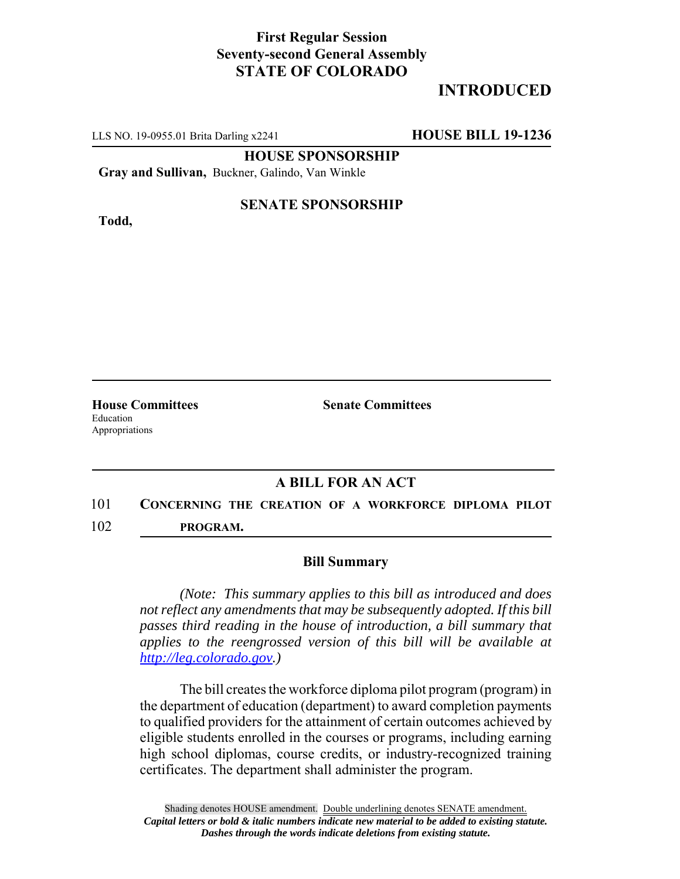## **First Regular Session Seventy-second General Assembly STATE OF COLORADO**

# **INTRODUCED**

LLS NO. 19-0955.01 Brita Darling x2241 **HOUSE BILL 19-1236**

**HOUSE SPONSORSHIP**

**Gray and Sullivan,** Buckner, Galindo, Van Winkle

**Todd,**

### **SENATE SPONSORSHIP**

Education Appropriations

**House Committees Senate Committees** 

### **A BILL FOR AN ACT**

## 101 **CONCERNING THE CREATION OF A WORKFORCE DIPLOMA PILOT** 102 **PROGRAM.**

#### **Bill Summary**

*(Note: This summary applies to this bill as introduced and does not reflect any amendments that may be subsequently adopted. If this bill passes third reading in the house of introduction, a bill summary that applies to the reengrossed version of this bill will be available at http://leg.colorado.gov.)*

The bill creates the workforce diploma pilot program (program) in the department of education (department) to award completion payments to qualified providers for the attainment of certain outcomes achieved by eligible students enrolled in the courses or programs, including earning high school diplomas, course credits, or industry-recognized training certificates. The department shall administer the program.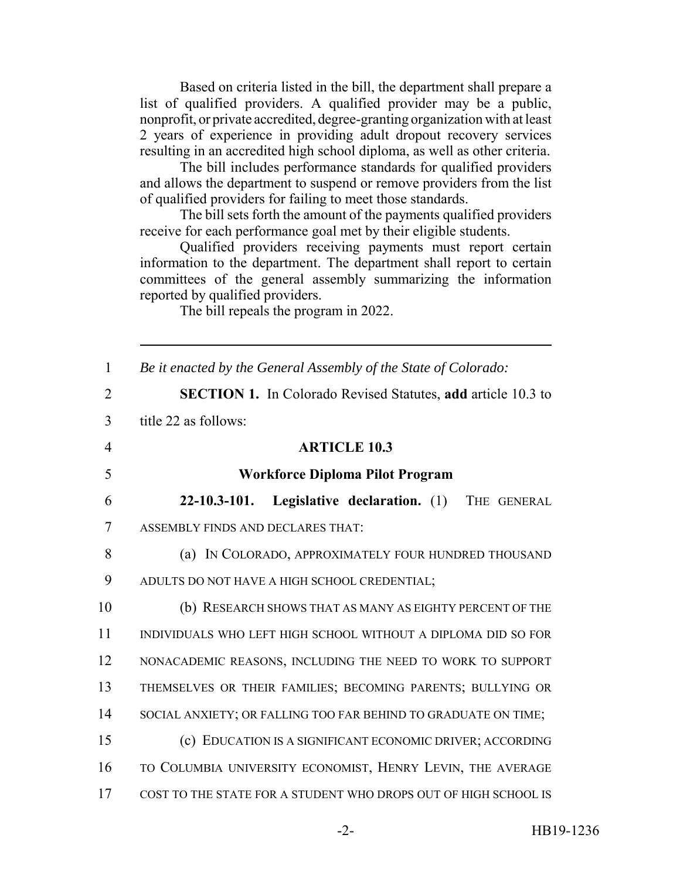Based on criteria listed in the bill, the department shall prepare a list of qualified providers. A qualified provider may be a public, nonprofit, or private accredited, degree-granting organization with at least 2 years of experience in providing adult dropout recovery services resulting in an accredited high school diploma, as well as other criteria.

The bill includes performance standards for qualified providers and allows the department to suspend or remove providers from the list of qualified providers for failing to meet those standards.

The bill sets forth the amount of the payments qualified providers receive for each performance goal met by their eligible students.

Qualified providers receiving payments must report certain information to the department. The department shall report to certain committees of the general assembly summarizing the information reported by qualified providers.

The bill repeals the program in 2022.

| $\mathbf{1}$   | Be it enacted by the General Assembly of the State of Colorado:     |
|----------------|---------------------------------------------------------------------|
| $\overline{2}$ | <b>SECTION 1.</b> In Colorado Revised Statutes, add article 10.3 to |
| $\overline{3}$ | title 22 as follows:                                                |
| $\overline{4}$ | <b>ARTICLE 10.3</b>                                                 |
| 5              | <b>Workforce Diploma Pilot Program</b>                              |
| 6              | $22 - 10.3 - 101.$<br>Legislative declaration. (1) THE GENERAL      |
| $\overline{7}$ | ASSEMBLY FINDS AND DECLARES THAT:                                   |
| 8              | (a) IN COLORADO, APPROXIMATELY FOUR HUNDRED THOUSAND                |
| 9              | ADULTS DO NOT HAVE A HIGH SCHOOL CREDENTIAL;                        |
| 10             | (b) RESEARCH SHOWS THAT AS MANY AS EIGHTY PERCENT OF THE            |
| 11             | INDIVIDUALS WHO LEFT HIGH SCHOOL WITHOUT A DIPLOMA DID SO FOR       |
| 12             | NONACADEMIC REASONS, INCLUDING THE NEED TO WORK TO SUPPORT          |
| 13             | THEMSELVES OR THEIR FAMILIES; BECOMING PARENTS; BULLYING OR         |
| 14             | SOCIAL ANXIETY; OR FALLING TOO FAR BEHIND TO GRADUATE ON TIME;      |
| 15             | (c) EDUCATION IS A SIGNIFICANT ECONOMIC DRIVER; ACCORDING           |
| 16             | TO COLUMBIA UNIVERSITY ECONOMIST, HENRY LEVIN, THE AVERAGE          |
| 17             | COST TO THE STATE FOR A STUDENT WHO DROPS OUT OF HIGH SCHOOL IS     |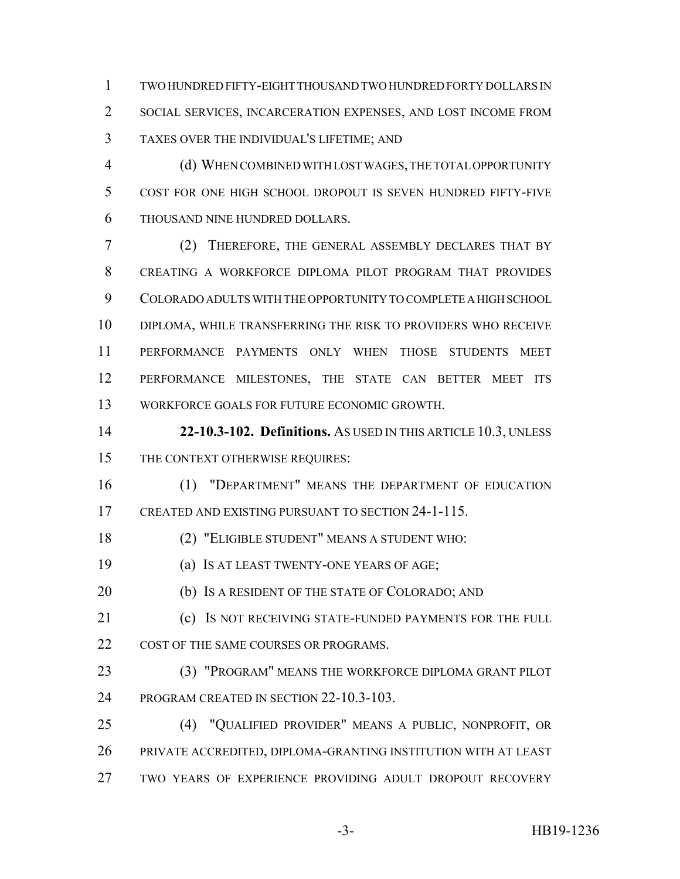TWO HUNDRED FIFTY-EIGHT THOUSAND TWO HUNDRED FORTY DOLLARS IN SOCIAL SERVICES, INCARCERATION EXPENSES, AND LOST INCOME FROM TAXES OVER THE INDIVIDUAL'S LIFETIME; AND

 (d) WHEN COMBINED WITH LOST WAGES, THE TOTAL OPPORTUNITY COST FOR ONE HIGH SCHOOL DROPOUT IS SEVEN HUNDRED FIFTY-FIVE THOUSAND NINE HUNDRED DOLLARS.

 (2) THEREFORE, THE GENERAL ASSEMBLY DECLARES THAT BY CREATING A WORKFORCE DIPLOMA PILOT PROGRAM THAT PROVIDES COLORADO ADULTS WITH THE OPPORTUNITY TO COMPLETE A HIGH SCHOOL DIPLOMA, WHILE TRANSFERRING THE RISK TO PROVIDERS WHO RECEIVE PERFORMANCE PAYMENTS ONLY WHEN THOSE STUDENTS MEET PERFORMANCE MILESTONES, THE STATE CAN BETTER MEET ITS WORKFORCE GOALS FOR FUTURE ECONOMIC GROWTH.

 **22-10.3-102. Definitions.** AS USED IN THIS ARTICLE 10.3, UNLESS 15 THE CONTEXT OTHERWISE REQUIRES:

 (1) "DEPARTMENT" MEANS THE DEPARTMENT OF EDUCATION CREATED AND EXISTING PURSUANT TO SECTION 24-1-115.

(2) "ELIGIBLE STUDENT" MEANS A STUDENT WHO:

(a) IS AT LEAST TWENTY-ONE YEARS OF AGE;

20 (b) IS A RESIDENT OF THE STATE OF COLORADO; AND

 (c) IS NOT RECEIVING STATE-FUNDED PAYMENTS FOR THE FULL 22 COST OF THE SAME COURSES OR PROGRAMS.

 (3) "PROGRAM" MEANS THE WORKFORCE DIPLOMA GRANT PILOT 24 PROGRAM CREATED IN SECTION 22-10.3-103.

 (4) "QUALIFIED PROVIDER" MEANS A PUBLIC, NONPROFIT, OR PRIVATE ACCREDITED, DIPLOMA-GRANTING INSTITUTION WITH AT LEAST TWO YEARS OF EXPERIENCE PROVIDING ADULT DROPOUT RECOVERY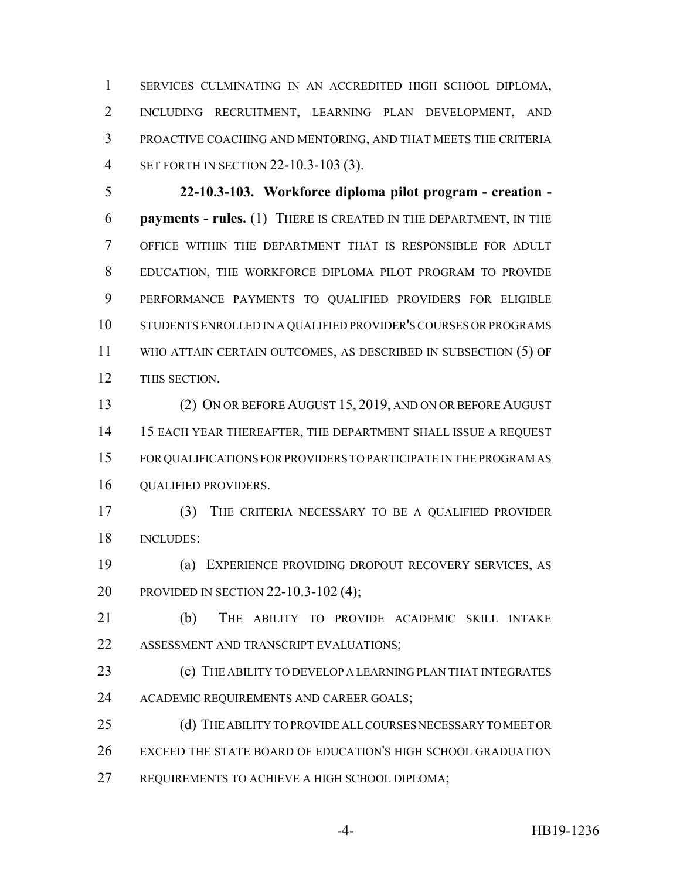SERVICES CULMINATING IN AN ACCREDITED HIGH SCHOOL DIPLOMA, INCLUDING RECRUITMENT, LEARNING PLAN DEVELOPMENT, AND PROACTIVE COACHING AND MENTORING, AND THAT MEETS THE CRITERIA SET FORTH IN SECTION 22-10.3-103 (3).

 **22-10.3-103. Workforce diploma pilot program - creation - payments - rules.** (1) THERE IS CREATED IN THE DEPARTMENT, IN THE OFFICE WITHIN THE DEPARTMENT THAT IS RESPONSIBLE FOR ADULT EDUCATION, THE WORKFORCE DIPLOMA PILOT PROGRAM TO PROVIDE PERFORMANCE PAYMENTS TO QUALIFIED PROVIDERS FOR ELIGIBLE STUDENTS ENROLLED IN A QUALIFIED PROVIDER'S COURSES OR PROGRAMS WHO ATTAIN CERTAIN OUTCOMES, AS DESCRIBED IN SUBSECTION (5) OF THIS SECTION.

 (2) ON OR BEFORE AUGUST 15, 2019, AND ON OR BEFORE AUGUST 15 EACH YEAR THEREAFTER, THE DEPARTMENT SHALL ISSUE A REQUEST FOR QUALIFICATIONS FOR PROVIDERS TO PARTICIPATE IN THE PROGRAM AS QUALIFIED PROVIDERS.

 (3) THE CRITERIA NECESSARY TO BE A QUALIFIED PROVIDER INCLUDES:

 (a) EXPERIENCE PROVIDING DROPOUT RECOVERY SERVICES, AS PROVIDED IN SECTION 22-10.3-102 (4);

 (b) THE ABILITY TO PROVIDE ACADEMIC SKILL INTAKE ASSESSMENT AND TRANSCRIPT EVALUATIONS;

**(c)** THE ABILITY TO DEVELOP A LEARNING PLAN THAT INTEGRATES 24 ACADEMIC REQUIREMENTS AND CAREER GOALS;

25 (d) THE ABILITY TO PROVIDE ALL COURSES NECESSARY TO MEET OR EXCEED THE STATE BOARD OF EDUCATION'S HIGH SCHOOL GRADUATION REQUIREMENTS TO ACHIEVE A HIGH SCHOOL DIPLOMA;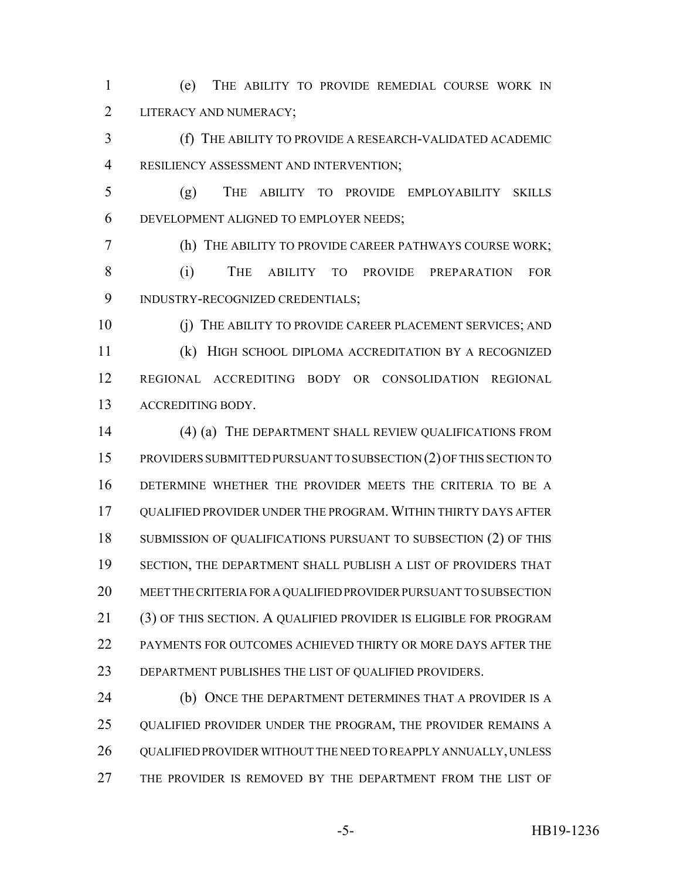(e) THE ABILITY TO PROVIDE REMEDIAL COURSE WORK IN 2 LITERACY AND NUMERACY;

 (f) THE ABILITY TO PROVIDE A RESEARCH-VALIDATED ACADEMIC RESILIENCY ASSESSMENT AND INTERVENTION;

 (g) THE ABILITY TO PROVIDE EMPLOYABILITY SKILLS DEVELOPMENT ALIGNED TO EMPLOYER NEEDS;

 (h) THE ABILITY TO PROVIDE CAREER PATHWAYS COURSE WORK; (i) THE ABILITY TO PROVIDE PREPARATION FOR INDUSTRY-RECOGNIZED CREDENTIALS;

 (j) THE ABILITY TO PROVIDE CAREER PLACEMENT SERVICES; AND (k) HIGH SCHOOL DIPLOMA ACCREDITATION BY A RECOGNIZED REGIONAL ACCREDITING BODY OR CONSOLIDATION REGIONAL ACCREDITING BODY.

14 (4) (a) THE DEPARTMENT SHALL REVIEW QUALIFICATIONS FROM PROVIDERS SUBMITTED PURSUANT TO SUBSECTION (2) OF THIS SECTION TO DETERMINE WHETHER THE PROVIDER MEETS THE CRITERIA TO BE A QUALIFIED PROVIDER UNDER THE PROGRAM. WITHIN THIRTY DAYS AFTER 18 SUBMISSION OF QUALIFICATIONS PURSUANT TO SUBSECTION (2) OF THIS SECTION, THE DEPARTMENT SHALL PUBLISH A LIST OF PROVIDERS THAT MEET THE CRITERIA FOR A QUALIFIED PROVIDER PURSUANT TO SUBSECTION (3) OF THIS SECTION. A QUALIFIED PROVIDER IS ELIGIBLE FOR PROGRAM PAYMENTS FOR OUTCOMES ACHIEVED THIRTY OR MORE DAYS AFTER THE DEPARTMENT PUBLISHES THE LIST OF QUALIFIED PROVIDERS.

**(b) ONCE THE DEPARTMENT DETERMINES THAT A PROVIDER IS A** 25 QUALIFIED PROVIDER UNDER THE PROGRAM, THE PROVIDER REMAINS A QUALIFIED PROVIDER WITHOUT THE NEED TO REAPPLY ANNUALLY, UNLESS THE PROVIDER IS REMOVED BY THE DEPARTMENT FROM THE LIST OF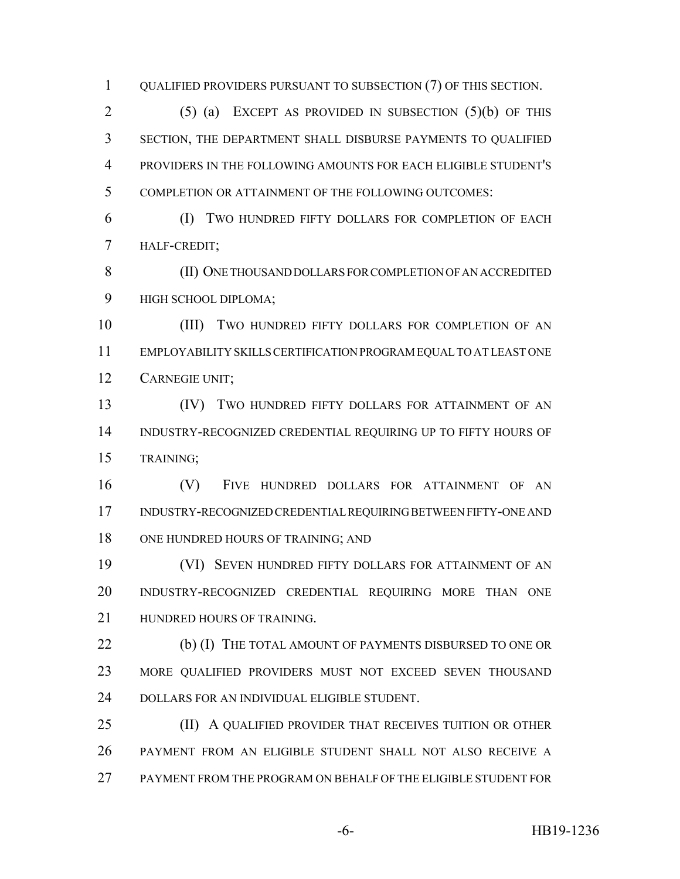QUALIFIED PROVIDERS PURSUANT TO SUBSECTION (7) OF THIS SECTION.

 (5) (a) EXCEPT AS PROVIDED IN SUBSECTION (5)(b) OF THIS SECTION, THE DEPARTMENT SHALL DISBURSE PAYMENTS TO QUALIFIED PROVIDERS IN THE FOLLOWING AMOUNTS FOR EACH ELIGIBLE STUDENT'S COMPLETION OR ATTAINMENT OF THE FOLLOWING OUTCOMES:

 (I) TWO HUNDRED FIFTY DOLLARS FOR COMPLETION OF EACH HALF-CREDIT;

 (II) ONE THOUSAND DOLLARS FOR COMPLETION OF AN ACCREDITED HIGH SCHOOL DIPLOMA;

 (III) TWO HUNDRED FIFTY DOLLARS FOR COMPLETION OF AN EMPLOYABILITY SKILLS CERTIFICATION PROGRAM EQUAL TO AT LEAST ONE CARNEGIE UNIT;

 (IV) TWO HUNDRED FIFTY DOLLARS FOR ATTAINMENT OF AN INDUSTRY-RECOGNIZED CREDENTIAL REQUIRING UP TO FIFTY HOURS OF TRAINING;

 (V) FIVE HUNDRED DOLLARS FOR ATTAINMENT OF AN INDUSTRY-RECOGNIZED CREDENTIAL REQUIRING BETWEEN FIFTY-ONE AND 18 ONE HUNDRED HOURS OF TRAINING; AND

 (VI) SEVEN HUNDRED FIFTY DOLLARS FOR ATTAINMENT OF AN INDUSTRY-RECOGNIZED CREDENTIAL REQUIRING MORE THAN ONE HUNDRED HOURS OF TRAINING.

**(b) (I)** THE TOTAL AMOUNT OF PAYMENTS DISBURSED TO ONE OR MORE QUALIFIED PROVIDERS MUST NOT EXCEED SEVEN THOUSAND DOLLARS FOR AN INDIVIDUAL ELIGIBLE STUDENT.

 (II) A QUALIFIED PROVIDER THAT RECEIVES TUITION OR OTHER PAYMENT FROM AN ELIGIBLE STUDENT SHALL NOT ALSO RECEIVE A PAYMENT FROM THE PROGRAM ON BEHALF OF THE ELIGIBLE STUDENT FOR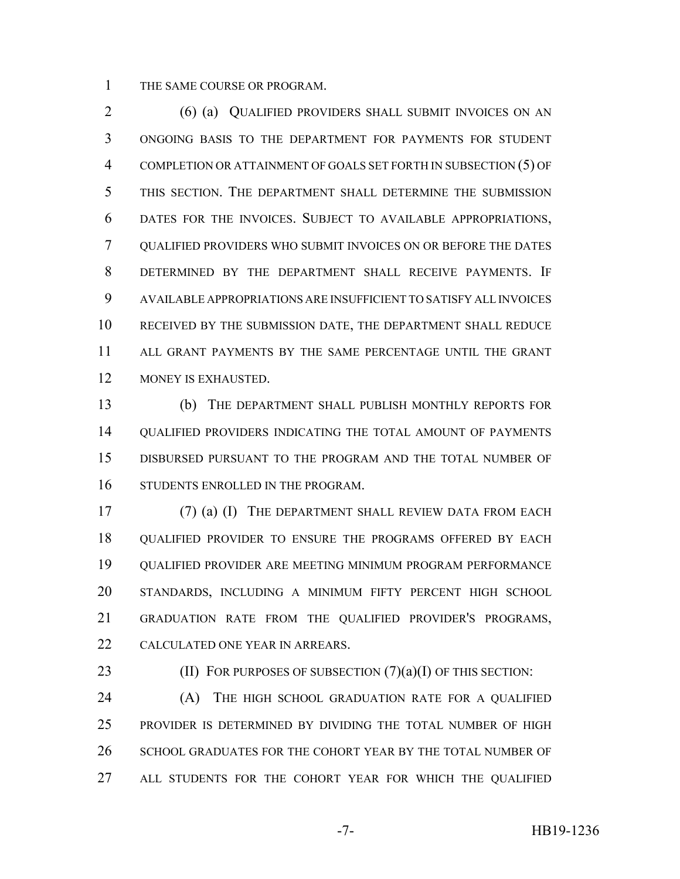THE SAME COURSE OR PROGRAM.

 (6) (a) QUALIFIED PROVIDERS SHALL SUBMIT INVOICES ON AN ONGOING BASIS TO THE DEPARTMENT FOR PAYMENTS FOR STUDENT COMPLETION OR ATTAINMENT OF GOALS SET FORTH IN SUBSECTION (5) OF THIS SECTION. THE DEPARTMENT SHALL DETERMINE THE SUBMISSION DATES FOR THE INVOICES. SUBJECT TO AVAILABLE APPROPRIATIONS, QUALIFIED PROVIDERS WHO SUBMIT INVOICES ON OR BEFORE THE DATES DETERMINED BY THE DEPARTMENT SHALL RECEIVE PAYMENTS. IF AVAILABLE APPROPRIATIONS ARE INSUFFICIENT TO SATISFY ALL INVOICES RECEIVED BY THE SUBMISSION DATE, THE DEPARTMENT SHALL REDUCE ALL GRANT PAYMENTS BY THE SAME PERCENTAGE UNTIL THE GRANT MONEY IS EXHAUSTED.

 (b) THE DEPARTMENT SHALL PUBLISH MONTHLY REPORTS FOR QUALIFIED PROVIDERS INDICATING THE TOTAL AMOUNT OF PAYMENTS DISBURSED PURSUANT TO THE PROGRAM AND THE TOTAL NUMBER OF STUDENTS ENROLLED IN THE PROGRAM.

 (7) (a) (I) THE DEPARTMENT SHALL REVIEW DATA FROM EACH QUALIFIED PROVIDER TO ENSURE THE PROGRAMS OFFERED BY EACH QUALIFIED PROVIDER ARE MEETING MINIMUM PROGRAM PERFORMANCE STANDARDS, INCLUDING A MINIMUM FIFTY PERCENT HIGH SCHOOL GRADUATION RATE FROM THE QUALIFIED PROVIDER'S PROGRAMS, CALCULATED ONE YEAR IN ARREARS.

23 (II) FOR PURPOSES OF SUBSECTION  $(7)(a)(I)$  OF THIS SECTION:

**(A)** THE HIGH SCHOOL GRADUATION RATE FOR A QUALIFIED PROVIDER IS DETERMINED BY DIVIDING THE TOTAL NUMBER OF HIGH 26 SCHOOL GRADUATES FOR THE COHORT YEAR BY THE TOTAL NUMBER OF ALL STUDENTS FOR THE COHORT YEAR FOR WHICH THE QUALIFIED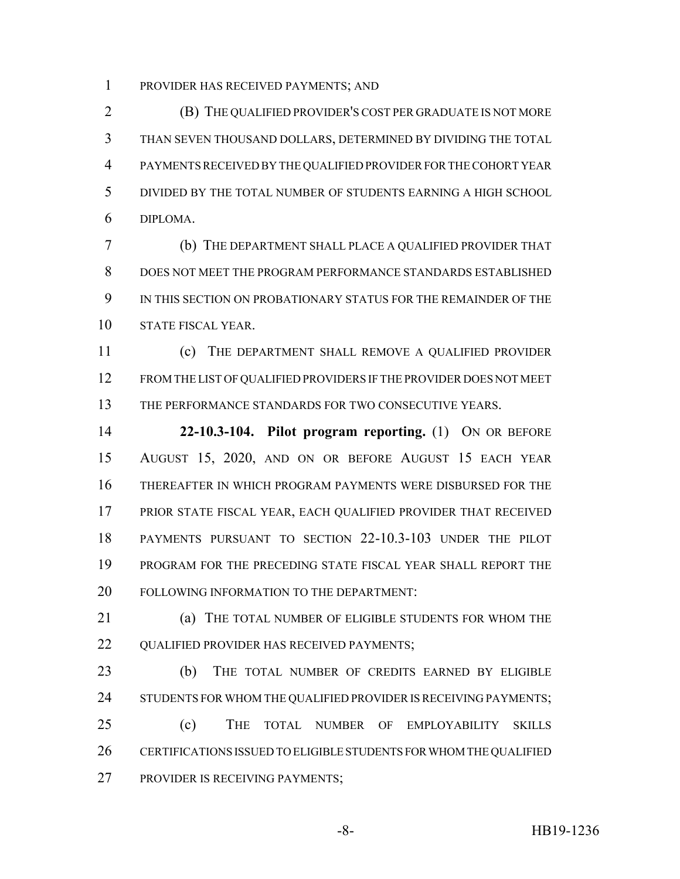PROVIDER HAS RECEIVED PAYMENTS; AND

 (B) THE QUALIFIED PROVIDER'S COST PER GRADUATE IS NOT MORE THAN SEVEN THOUSAND DOLLARS, DETERMINED BY DIVIDING THE TOTAL PAYMENTS RECEIVED BY THE QUALIFIED PROVIDER FOR THE COHORT YEAR DIVIDED BY THE TOTAL NUMBER OF STUDENTS EARNING A HIGH SCHOOL DIPLOMA.

 (b) THE DEPARTMENT SHALL PLACE A QUALIFIED PROVIDER THAT DOES NOT MEET THE PROGRAM PERFORMANCE STANDARDS ESTABLISHED IN THIS SECTION ON PROBATIONARY STATUS FOR THE REMAINDER OF THE STATE FISCAL YEAR.

 (c) THE DEPARTMENT SHALL REMOVE A QUALIFIED PROVIDER FROM THE LIST OF QUALIFIED PROVIDERS IF THE PROVIDER DOES NOT MEET 13 THE PERFORMANCE STANDARDS FOR TWO CONSECUTIVE YEARS.

 **22-10.3-104. Pilot program reporting.** (1) ON OR BEFORE AUGUST 15, 2020, AND ON OR BEFORE AUGUST 15 EACH YEAR THEREAFTER IN WHICH PROGRAM PAYMENTS WERE DISBURSED FOR THE PRIOR STATE FISCAL YEAR, EACH QUALIFIED PROVIDER THAT RECEIVED PAYMENTS PURSUANT TO SECTION 22-10.3-103 UNDER THE PILOT PROGRAM FOR THE PRECEDING STATE FISCAL YEAR SHALL REPORT THE 20 FOLLOWING INFORMATION TO THE DEPARTMENT:

**(a) THE TOTAL NUMBER OF ELIGIBLE STUDENTS FOR WHOM THE** 22 OUALIFIED PROVIDER HAS RECEIVED PAYMENTS;

 (b) THE TOTAL NUMBER OF CREDITS EARNED BY ELIGIBLE 24 STUDENTS FOR WHOM THE QUALIFIED PROVIDER IS RECEIVING PAYMENTS; (c) THE TOTAL NUMBER OF EMPLOYABILITY SKILLS CERTIFICATIONS ISSUED TO ELIGIBLE STUDENTS FOR WHOM THE QUALIFIED PROVIDER IS RECEIVING PAYMENTS;